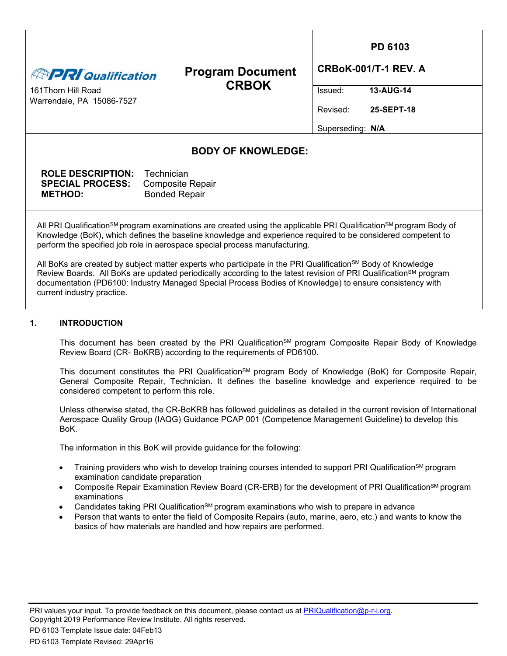| <b>ENPRI Qualification</b><br>161 Thorn Hill Road<br>Warrendale, PA 15086-7527                                                                                                                                                                                                                                                                                                                   | <b>Program Document</b><br><b>CRBOK</b>         | Issued:<br>Revised:<br>Superseding: N/A | <b>PD 6103</b><br><b>CRBoK-001/T-1 REV. A</b><br>13-AUG-14<br>25-SEPT-18 |  |
|--------------------------------------------------------------------------------------------------------------------------------------------------------------------------------------------------------------------------------------------------------------------------------------------------------------------------------------------------------------------------------------------------|-------------------------------------------------|-----------------------------------------|--------------------------------------------------------------------------|--|
|                                                                                                                                                                                                                                                                                                                                                                                                  | <b>BODY OF KNOWLEDGE:</b>                       |                                         |                                                                          |  |
| <b>ROLE DESCRIPTION:</b> Technician<br><b>SPECIAL PROCESS:</b><br><b>METHOD:</b>                                                                                                                                                                                                                                                                                                                 | <b>Composite Repair</b><br><b>Bonded Repair</b> |                                         |                                                                          |  |
| All PRI Qualification <sup>sM</sup> program examinations are created using the applicable PRI Qualification <sup>sM</sup> program Body of<br>Knowledge (BoK), which defines the baseline knowledge and experience required to be considered competent to<br>perform the specified job role in aerospace special process manufacturing.                                                           |                                                 |                                         |                                                                          |  |
| All BoKs are created by subject matter experts who participate in the PRI Qualification <sup>SM</sup> Body of Knowledge<br>Review Boards. All BoKs are updated periodically according to the latest revision of PRI Qualification <sup>sM</sup> program<br>documentation (PD6100: Industry Managed Special Process Bodies of Knowledge) to ensure consistency with<br>current industry practice. |                                                 |                                         |                                                                          |  |

# **1. INTRODUCTION**

This document has been created by the PRI Qualification<sup>SM</sup> program Composite Repair Body of Knowledge Review Board (CR- BoKRB) according to the requirements of PD6100.

This document constitutes the PRI Qualification<sup>SM</sup> program Body of Knowledge (BoK) for Composite Repair, General Composite Repair, Technician. It defines the baseline knowledge and experience required to be considered competent to perform this role.

Unless otherwise stated, the CR-BoKRB has followed guidelines as detailed in the current revision of International Aerospace Quality Group (IAQG) Guidance PCAP 001 (Competence Management Guideline) to develop this BoK.

The information in this BoK will provide guidance for the following:

- Training providers who wish to develop training courses intended to support PRI Qualification<sup>SM</sup> program examination candidate preparation
- Composite Repair Examination Review Board (CR-ERB) for the development of PRI Qualification<sup>SM</sup> program examinations
- Candidates taking PRI QualificationSM program examinations who wish to prepare in advance
- Person that wants to enter the field of Composite Repairs (auto, marine, aero, etc.) and wants to know the basics of how materials are handled and how repairs are performed.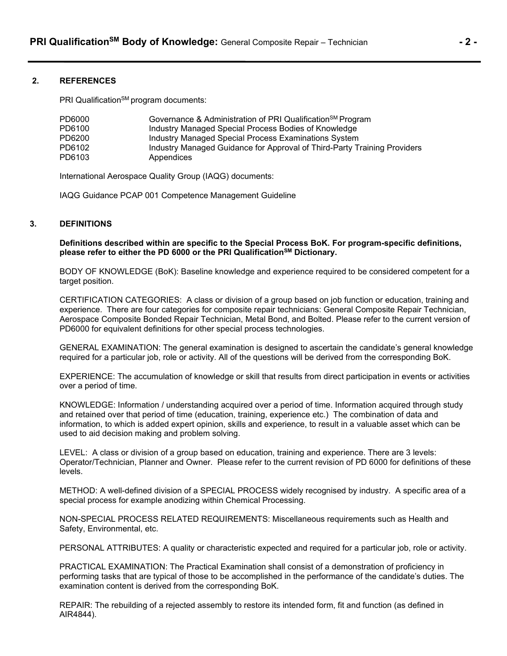### **2. REFERENCES**

PRI Qualification<sup>SM</sup> program documents:

| PD6000 | Governance & Administration of PRI Qualification <sup>SM</sup> Program   |
|--------|--------------------------------------------------------------------------|
| PD6100 | Industry Managed Special Process Bodies of Knowledge                     |
| PD6200 | Industry Managed Special Process Examinations System                     |
| PD6102 | Industry Managed Guidance for Approval of Third-Party Training Providers |
| PD6103 | Appendices                                                               |

International Aerospace Quality Group (IAQG) documents:

IAQG Guidance PCAP 001 Competence Management Guideline

### **3. DEFINITIONS**

**Definitions described within are specific to the Special Process BoK. For program-specific definitions, please refer to either the PD 6000 or the PRI QualificationSM Dictionary.**

BODY OF KNOWLEDGE (BoK): Baseline knowledge and experience required to be considered competent for a target position.

CERTIFICATION CATEGORIES: A class or division of a group based on job function or education, training and experience. There are four categories for composite repair technicians: General Composite Repair Technician, Aerospace Composite Bonded Repair Technician, Metal Bond, and Bolted. Please refer to the current version of PD6000 for equivalent definitions for other special process technologies.

GENERAL EXAMINATION: The general examination is designed to ascertain the candidate's general knowledge required for a particular job, role or activity. All of the questions will be derived from the corresponding BoK.

EXPERIENCE: The accumulation of knowledge or skill that results from direct participation in events or activities over a period of time.

KNOWLEDGE: Information / understanding acquired over a period of time. Information acquired through study and retained over that period of time (education, training, experience etc.) The combination of data and information, to which is added expert opinion, skills and experience, to result in a valuable asset which can be used to aid decision making and problem solving.

LEVEL: A class or division of a group based on education, training and experience. There are 3 levels: Operator/Technician, Planner and Owner. Please refer to the current revision of PD 6000 for definitions of these levels.

METHOD: A well-defined division of a SPECIAL PROCESS widely recognised by industry. A specific area of a special process for example anodizing within Chemical Processing.

NON-SPECIAL PROCESS RELATED REQUIREMENTS: Miscellaneous requirements such as Health and Safety, Environmental, etc.

PERSONAL ATTRIBUTES: A quality or characteristic expected and required for a particular job, role or activity.

PRACTICAL EXAMINATION: The Practical Examination shall consist of a demonstration of proficiency in performing tasks that are typical of those to be accomplished in the performance of the candidate's duties. The examination content is derived from the corresponding BoK.

REPAIR: The rebuilding of a rejected assembly to restore its intended form, fit and function (as defined in AIR4844).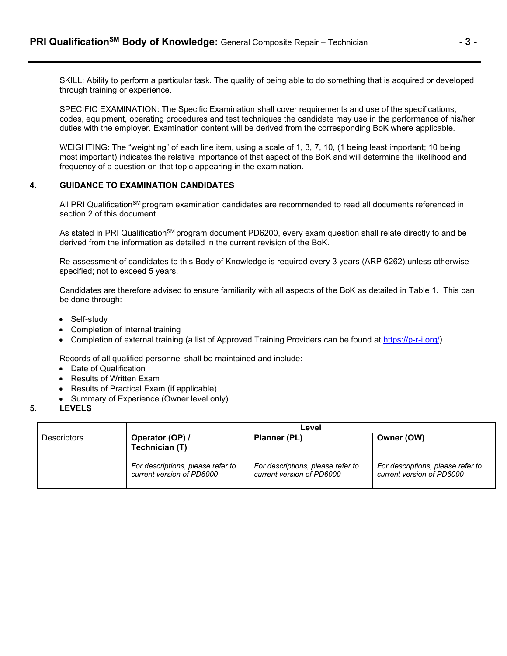SKILL: Ability to perform a particular task. The quality of being able to do something that is acquired or developed through training or experience.

SPECIFIC EXAMINATION: The Specific Examination shall cover requirements and use of the specifications, codes, equipment, operating procedures and test techniques the candidate may use in the performance of his/her duties with the employer. Examination content will be derived from the corresponding BoK where applicable.

WEIGHTING: The "weighting" of each line item, using a scale of 1, 3, 7, 10, (1 being least important; 10 being most important) indicates the relative importance of that aspect of the BoK and will determine the likelihood and frequency of a question on that topic appearing in the examination.

### **4. GUIDANCE TO EXAMINATION CANDIDATES**

All PRI Qualification<sup>SM</sup> program examination candidates are recommended to read all documents referenced in section 2 of this document.

As stated in PRI Qualification<sup>SM</sup> program document PD6200, every exam question shall relate directly to and be derived from the information as detailed in the current revision of the BoK.

Re-assessment of candidates to this Body of Knowledge is required every 3 years (ARP 6262) unless otherwise specified; not to exceed 5 years.

Candidates are therefore advised to ensure familiarity with all aspects of the BoK as detailed in Table 1. This can be done through:

- Self-study
- Completion of internal training
- Completion of external training (a list of Approved Training Providers can be found at [https://p-r-i.org/\)](https://p-r-i.org/)

Records of all qualified personnel shall be maintained and include:

- Date of Qualification
- Results of Written Exam
- Results of Practical Exam (if applicable)
- Summary of Experience (Owner level only)
- **5. LEVELS**

|                    | Level                                                          |                                                                |                                                                |  |  |  |
|--------------------|----------------------------------------------------------------|----------------------------------------------------------------|----------------------------------------------------------------|--|--|--|
| <b>Descriptors</b> | Operator (OP) /<br>Technician (T)                              | Planner (PL)                                                   | Owner (OW)                                                     |  |  |  |
|                    | For descriptions, please refer to<br>current version of PD6000 | For descriptions, please refer to<br>current version of PD6000 | For descriptions, please refer to<br>current version of PD6000 |  |  |  |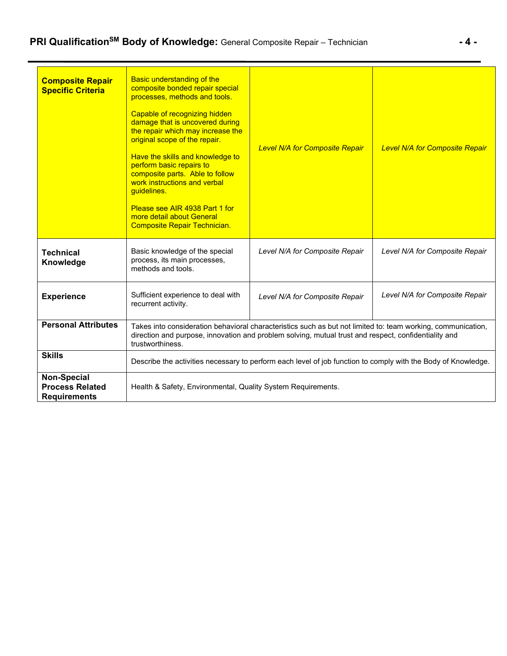| <b>Composite Repair</b><br><b>Specific Criteria</b>                 | <b>Basic understanding of the</b><br>composite bonded repair special<br>processes, methods and tools.<br>Capable of recognizing hidden<br>damage that is uncovered during<br>the repair which may increase the<br>original scope of the repair.<br>Have the skills and knowledge to<br>perform basic repairs to<br>composite parts. Able to follow<br>work instructions and verbal<br>guidelines.<br>Please see AIR 4938 Part 1 for<br>more detail about General<br><b>Composite Repair Technician.</b> | <b>Level N/A for Composite Repair</b>                                                                                                                                                                                | <b>Level N/A for Composite Repair</b> |  |  |
|---------------------------------------------------------------------|---------------------------------------------------------------------------------------------------------------------------------------------------------------------------------------------------------------------------------------------------------------------------------------------------------------------------------------------------------------------------------------------------------------------------------------------------------------------------------------------------------|----------------------------------------------------------------------------------------------------------------------------------------------------------------------------------------------------------------------|---------------------------------------|--|--|
| <b>Technical</b><br>Knowledge                                       | Basic knowledge of the special<br>process, its main processes,<br>methods and tools.                                                                                                                                                                                                                                                                                                                                                                                                                    | Level N/A for Composite Repair                                                                                                                                                                                       | Level N/A for Composite Repair        |  |  |
| <b>Experience</b>                                                   | Sufficient experience to deal with<br>recurrent activity.                                                                                                                                                                                                                                                                                                                                                                                                                                               | Level N/A for Composite Repair                                                                                                                                                                                       | Level N/A for Composite Repair        |  |  |
| <b>Personal Attributes</b>                                          | trustworthiness.                                                                                                                                                                                                                                                                                                                                                                                                                                                                                        | Takes into consideration behavioral characteristics such as but not limited to: team working, communication,<br>direction and purpose, innovation and problem solving, mutual trust and respect, confidentiality and |                                       |  |  |
| <b>Skills</b>                                                       | Describe the activities necessary to perform each level of job function to comply with the Body of Knowledge.                                                                                                                                                                                                                                                                                                                                                                                           |                                                                                                                                                                                                                      |                                       |  |  |
| <b>Non-Special</b><br><b>Process Related</b><br><b>Requirements</b> | Health & Safety, Environmental, Quality System Requirements.                                                                                                                                                                                                                                                                                                                                                                                                                                            |                                                                                                                                                                                                                      |                                       |  |  |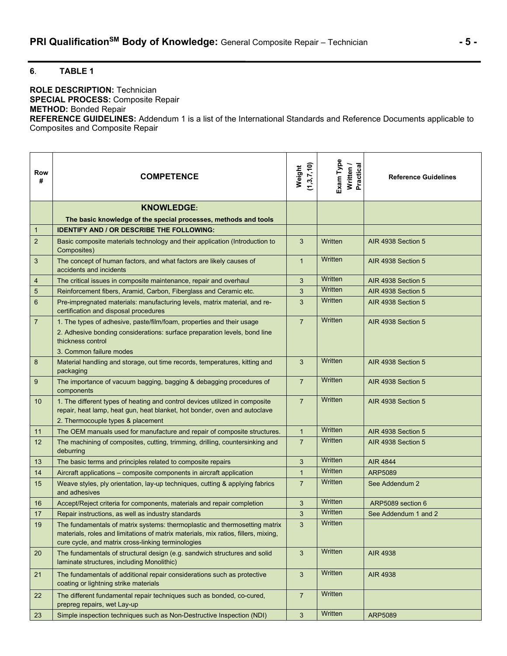# **6**. **TABLE 1**

#### **ROLE DESCRIPTION:** Technician **SPECIAL PROCESS:** Composite Repair **METHOD:** Bonded Repair

**REFERENCE GUIDELINES:** Addendum 1 is a list of the International Standards and Reference Documents applicable to Composites and Composite Repair

| Row<br>#        | <b>COMPETENCE</b>                                                                                                                                                                                                      | (1,3,7,10)<br>Weight | Exam Type<br>Written /<br>Practical | <b>Reference Guidelines</b> |
|-----------------|------------------------------------------------------------------------------------------------------------------------------------------------------------------------------------------------------------------------|----------------------|-------------------------------------|-----------------------------|
|                 | <b>KNOWLEDGE:</b>                                                                                                                                                                                                      |                      |                                     |                             |
|                 | The basic knowledge of the special processes, methods and tools                                                                                                                                                        |                      |                                     |                             |
| $\mathbf{1}$    | <b>IDENTIFY AND / OR DESCRIBE THE FOLLOWING:</b>                                                                                                                                                                       |                      |                                     |                             |
| $\overline{2}$  | Basic composite materials technology and their application (Introduction to<br>Composites)                                                                                                                             | 3                    | Written                             | AIR 4938 Section 5          |
| 3               | The concept of human factors, and what factors are likely causes of<br>accidents and incidents                                                                                                                         | $\mathbf{1}$         | Written                             | AIR 4938 Section 5          |
| 4               | The critical issues in composite maintenance, repair and overhaul                                                                                                                                                      | 3                    | Written                             | AIR 4938 Section 5          |
| $\overline{5}$  | Reinforcement fibers, Aramid, Carbon, Fiberglass and Ceramic etc.                                                                                                                                                      | 3                    | Written                             | AIR 4938 Section 5          |
| $6\phantom{1}6$ | Pre-impregnated materials: manufacturing levels, matrix material, and re-<br>certification and disposal procedures                                                                                                     | 3                    | Written                             | AIR 4938 Section 5          |
| $\overline{7}$  | 1. The types of adhesive, paste/film/foam, properties and their usage<br>2. Adhesive bonding considerations: surface preparation levels, bond line<br>thickness control<br>3. Common failure modes                     | $\overline{7}$       | Written                             | AIR 4938 Section 5          |
| 8               | Material handling and storage, out time records, temperatures, kitting and<br>packaging                                                                                                                                | 3                    | Written                             | AIR 4938 Section 5          |
| 9               | The importance of vacuum bagging, bagging & debagging procedures of<br>components                                                                                                                                      | $\overline{7}$       | Written                             | AIR 4938 Section 5          |
| 10              | 1. The different types of heating and control devices utilized in composite<br>repair, heat lamp, heat gun, heat blanket, hot bonder, oven and autoclave<br>2. Thermocouple types & placement                          | $\overline{7}$       | Written                             | AIR 4938 Section 5          |
| 11              | The OEM manuals used for manufacture and repair of composite structures.                                                                                                                                               | $\mathbf{1}$         | Written                             | AIR 4938 Section 5          |
| 12              | The machining of composites, cutting, trimming, drilling, countersinking and<br>deburring                                                                                                                              | $\overline{7}$       | Written                             | AIR 4938 Section 5          |
| 13              | The basic terms and principles related to composite repairs                                                                                                                                                            | 3                    | Written                             | <b>AIR 4844</b>             |
| 14              | Aircraft applications - composite components in aircraft application                                                                                                                                                   | $\mathbf{1}$         | Written                             | ARP5089                     |
| 15              | Weave styles, ply orientation, lay-up techniques, cutting & applying fabrics<br>and adhesives                                                                                                                          | $\overline{7}$       | Written                             | See Addendum 2              |
| 16              | Accept/Reject criteria for components, materials and repair completion                                                                                                                                                 | 3                    | Written                             | ARP5089 section 6           |
| 17              | Repair instructions, as well as industry standards                                                                                                                                                                     | 3                    | Written                             | See Addendum 1 and 2        |
| 19              | The fundamentals of matrix systems: thermoplastic and thermosetting matrix<br>materials, roles and limitations of matrix materials, mix ratios, fillers, mixing,<br>cure cycle, and matrix cross-linking terminologies | 3                    | Written                             |                             |
| 20              | The fundamentals of structural design (e.g. sandwich structures and solid<br>laminate structures, including Monolithic)                                                                                                | 3                    | Written                             | <b>AIR 4938</b>             |
| 21              | The fundamentals of additional repair considerations such as protective<br>coating or lightning strike materials                                                                                                       | 3                    | Written                             | <b>AIR 4938</b>             |
| 22              | The different fundamental repair techniques such as bonded, co-cured,<br>prepreg repairs, wet Lay-up                                                                                                                   | $\overline{7}$       | Written                             |                             |
| 23              | Simple inspection techniques such as Non-Destructive Inspection (NDI)                                                                                                                                                  | 3                    | Written                             | ARP5089                     |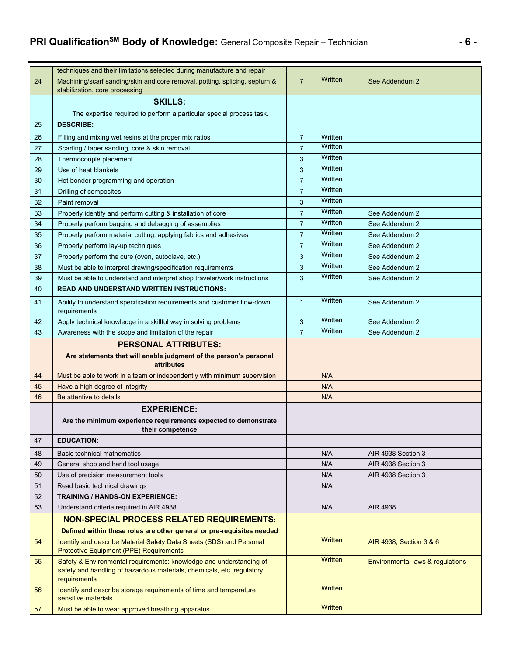# **PRI QualificationSM Body of Knowledge:** General Composite Repair – Technician **- 6 -**

|    | techniques and their limitations selected during manufacture and repair                                                                                       |                |                           |                                  |
|----|---------------------------------------------------------------------------------------------------------------------------------------------------------------|----------------|---------------------------|----------------------------------|
| 24 | Machining/scarf sanding/skin and core removal, potting, splicing, septum &<br>stabilization, core processing                                                  | $\overline{7}$ | Written                   | See Addendum 2                   |
|    | <b>SKILLS:</b>                                                                                                                                                |                |                           |                                  |
|    | The expertise required to perform a particular special process task.                                                                                          |                |                           |                                  |
| 25 | <b>DESCRIBE:</b>                                                                                                                                              |                |                           |                                  |
| 26 | Filling and mixing wet resins at the proper mix ratios                                                                                                        | $\overline{7}$ | Written                   |                                  |
| 27 | Scarfing / taper sanding, core & skin removal                                                                                                                 | $\overline{7}$ | Written                   |                                  |
| 28 | Thermocouple placement                                                                                                                                        | 3              | Written                   |                                  |
| 29 | Use of heat blankets                                                                                                                                          | 3              | Written                   |                                  |
| 30 | Hot bonder programming and operation                                                                                                                          | $\overline{7}$ | Written                   |                                  |
| 31 | Drilling of composites                                                                                                                                        | $\overline{7}$ | Written                   |                                  |
| 32 | Paint removal                                                                                                                                                 | 3              | Written                   |                                  |
| 33 | Properly identify and perform cutting & installation of core                                                                                                  | $\overline{7}$ | Written                   | See Addendum 2                   |
| 34 | Properly perform bagging and debagging of assemblies                                                                                                          | $\overline{7}$ | Written                   | See Addendum 2                   |
| 35 | Properly perform material cutting, applying fabrics and adhesives                                                                                             | $\overline{7}$ | Written                   | See Addendum 2                   |
| 36 | Properly perform lay-up techniques                                                                                                                            | $\overline{7}$ | Written                   | See Addendum 2                   |
| 37 | Properly perform the cure (oven, autoclave, etc.)                                                                                                             | 3              | Written                   | See Addendum 2                   |
| 38 | Must be able to interpret drawing/specification requirements                                                                                                  | 3              | Written                   | See Addendum 2                   |
| 39 | Must be able to understand and interpret shop traveler/work instructions                                                                                      | 3              | Written                   | See Addendum 2                   |
| 40 | <b>READ AND UNDERSTAND WRITTEN INSTRUCTIONS:</b>                                                                                                              |                |                           |                                  |
| 41 | Ability to understand specification requirements and customer flow-down<br>requirements                                                                       | $\mathbf{1}$   | Written                   | See Addendum 2                   |
| 42 | Apply technical knowledge in a skillful way in solving problems                                                                                               | 3              | Written                   | See Addendum 2                   |
| 43 | Awareness with the scope and limitation of the repair                                                                                                         | $\overline{7}$ | Written                   | See Addendum 2                   |
|    |                                                                                                                                                               |                |                           |                                  |
|    | <b>PERSONAL ATTRIBUTES:</b>                                                                                                                                   |                |                           |                                  |
|    | Are statements that will enable judgment of the person's personal<br><b>attributes</b>                                                                        |                |                           |                                  |
| 44 | Must be able to work in a team or independently with minimum supervision                                                                                      |                | N/A                       |                                  |
| 45 | Have a high degree of integrity                                                                                                                               |                | N/A                       |                                  |
| 46 | Be attentive to details                                                                                                                                       |                | N/A                       |                                  |
|    | <b>EXPERIENCE:</b>                                                                                                                                            |                |                           |                                  |
|    | Are the minimum experience requirements expected to demonstrate<br>their competence                                                                           |                |                           |                                  |
| 47 | <b>EDUCATION:</b>                                                                                                                                             |                |                           |                                  |
| 48 | Basic technical mathematics                                                                                                                                   |                | N/A                       | AIR 4938 Section 3               |
| 49 | General shop and hand tool usage                                                                                                                              |                | N/A                       | AIR 4938 Section 3               |
| 50 | Use of precision measurement tools                                                                                                                            |                | N/A                       | AIR 4938 Section 3               |
| 51 | Read basic technical drawings                                                                                                                                 |                | N/A                       |                                  |
| 52 | <b>TRAINING / HANDS-ON EXPERIENCE:</b>                                                                                                                        |                |                           |                                  |
| 53 | Understand criteria required in AIR 4938                                                                                                                      |                | N/A                       | AIR 4938                         |
|    | <b>NON-SPECIAL PROCESS RELATED REQUIREMENTS:</b>                                                                                                              |                |                           |                                  |
|    | Defined within these roles are other general or pre-requisites needed                                                                                         |                |                           |                                  |
| 54 | Identify and describe Material Safety Data Sheets (SDS) and Personal<br>Protective Equipment (PPE) Requirements                                               |                | Written                   | AIR 4938, Section 3 & 6          |
| 55 | Safety & Environmental requirements: knowledge and understanding of<br>safety and handling of hazardous materials, chemicals, etc. regulatory<br>requirements |                | <b>Written</b>            | Environmental laws & regulations |
| 56 | Identify and describe storage requirements of time and temperature<br>sensitive materials                                                                     |                | Written<br><b>Written</b> |                                  |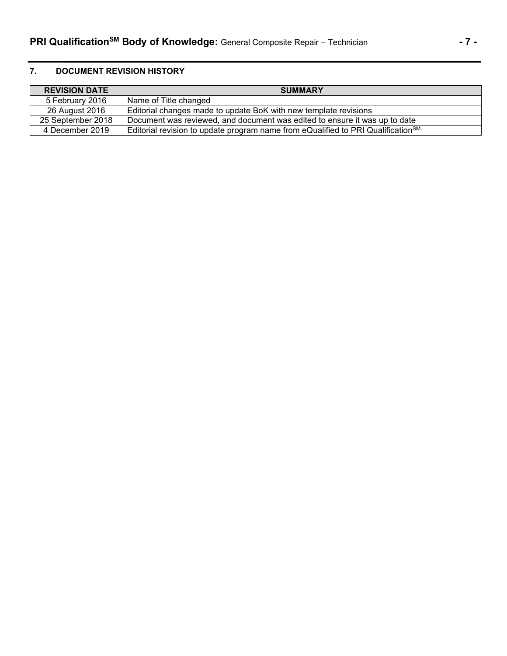# **7. DOCUMENT REVISION HISTORY**

| <b>REVISION DATE</b> | <b>SUMMARY</b>                                                                                |
|----------------------|-----------------------------------------------------------------------------------------------|
| 5 February 2016      | Name of Title changed                                                                         |
| 26 August 2016       | Editorial changes made to update BoK with new template revisions                              |
| 25 September 2018    | Document was reviewed, and document was edited to ensure it was up to date                    |
| 4 December 2019      | Editorial revision to update program name from eQualified to PRI Qualification <sup>SM.</sup> |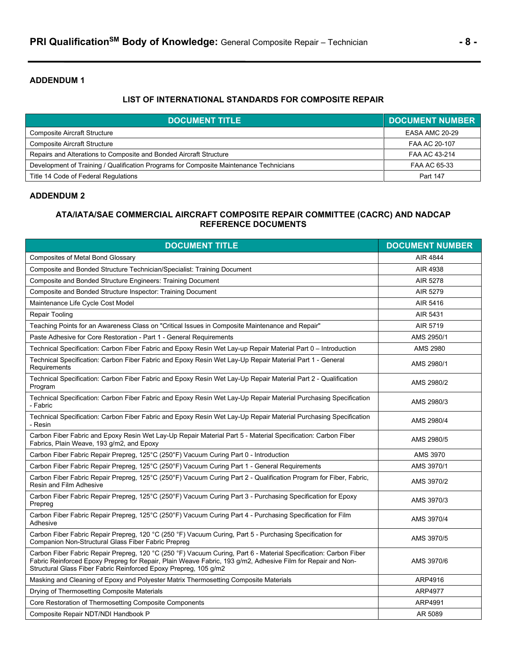# **ADDENDUM 1**

# **LIST OF INTERNATIONAL STANDARDS FOR COMPOSITE REPAIR**

| <b>DOCUMENT TITLE</b>                                                                  | <b>DOCUMENT NUMBER</b> |
|----------------------------------------------------------------------------------------|------------------------|
| <b>Composite Aircraft Structure</b>                                                    | EASA AMC 20-29         |
| <b>Composite Aircraft Structure</b>                                                    | FAA AC 20-107          |
| Repairs and Alterations to Composite and Bonded Aircraft Structure                     | FAA AC 43-214          |
| Development of Training / Qualification Programs for Composite Maintenance Technicians | FAA AC 65-33           |
| Title 14 Code of Federal Regulations                                                   | Part 147               |

### **ADDENDUM 2**

# **ATA/IATA/SAE COMMERCIAL AIRCRAFT COMPOSITE REPAIR COMMITTEE (CACRC) AND NADCAP REFERENCE DOCUMENTS**

| <b>DOCUMENT TITLE</b>                                                                                                                                                                                                                                                                               | <b>DOCUMENT NUMBER</b> |
|-----------------------------------------------------------------------------------------------------------------------------------------------------------------------------------------------------------------------------------------------------------------------------------------------------|------------------------|
| <b>Composites of Metal Bond Glossary</b>                                                                                                                                                                                                                                                            | AIR 4844               |
| Composite and Bonded Structure Technician/Specialist: Training Document                                                                                                                                                                                                                             | AIR 4938               |
| Composite and Bonded Structure Engineers: Training Document                                                                                                                                                                                                                                         | AIR 5278               |
| Composite and Bonded Structure Inspector: Training Document                                                                                                                                                                                                                                         | AIR 5279               |
| Maintenance Life Cycle Cost Model                                                                                                                                                                                                                                                                   | AIR 5416               |
| Repair Tooling                                                                                                                                                                                                                                                                                      | AIR 5431               |
| Teaching Points for an Awareness Class on "Critical Issues in Composite Maintenance and Repair"                                                                                                                                                                                                     | AIR 5719               |
| Paste Adhesive for Core Restoration - Part 1 - General Requirements                                                                                                                                                                                                                                 | AMS 2950/1             |
| Technical Specification: Carbon Fiber Fabric and Epoxy Resin Wet Lay-up Repair Material Part 0 - Introduction                                                                                                                                                                                       | AMS 2980               |
| Technical Specification: Carbon Fiber Fabric and Epoxy Resin Wet Lay-Up Repair Material Part 1 - General<br>Requirements                                                                                                                                                                            | AMS 2980/1             |
| Technical Specification: Carbon Fiber Fabric and Epoxy Resin Wet Lay-Up Repair Material Part 2 - Qualification<br>Program                                                                                                                                                                           | AMS 2980/2             |
| Technical Specification: Carbon Fiber Fabric and Epoxy Resin Wet Lay-Up Repair Material Purchasing Specification<br>- Fabric                                                                                                                                                                        | AMS 2980/3             |
| Technical Specification: Carbon Fiber Fabric and Epoxy Resin Wet Lay-Up Repair Material Purchasing Specification<br>- Resin                                                                                                                                                                         | AMS 2980/4             |
| Carbon Fiber Fabric and Epoxy Resin Wet Lay-Up Repair Material Part 5 - Material Specification: Carbon Fiber<br>Fabrics, Plain Weave, 193 g/m2, and Epoxy                                                                                                                                           | AMS 2980/5             |
| Carbon Fiber Fabric Repair Prepreg, 125°C (250°F) Vacuum Curing Part 0 - Introduction                                                                                                                                                                                                               | AMS 3970               |
| Carbon Fiber Fabric Repair Prepreg, 125°C (250°F) Vacuum Curing Part 1 - General Requirements                                                                                                                                                                                                       | AMS 3970/1             |
| Carbon Fiber Fabric Repair Prepreg, 125°C (250°F) Vacuum Curing Part 2 - Qualification Program for Fiber, Fabric,<br>Resin and Film Adhesive                                                                                                                                                        | AMS 3970/2             |
| Carbon Fiber Fabric Repair Prepreg, 125°C (250°F) Vacuum Curing Part 3 - Purchasing Specification for Epoxy<br>Prepreg                                                                                                                                                                              | AMS 3970/3             |
| Carbon Fiber Fabric Repair Prepreg, 125°C (250°F) Vacuum Curing Part 4 - Purchasing Specification for Film<br>Adhesive                                                                                                                                                                              | AMS 3970/4             |
| Carbon Fiber Fabric Repair Prepreg, 120 °C (250 °F) Vacuum Curing, Part 5 - Purchasing Specification for<br>Companion Non-Structural Glass Fiber Fabric Prepreg                                                                                                                                     | AMS 3970/5             |
| Carbon Fiber Fabric Repair Prepreg, 120 °C (250 °F) Vacuum Curing, Part 6 - Material Specification: Carbon Fiber<br>Fabric Reinforced Epoxy Prepreg for Repair, Plain Weave Fabric, 193 g/m2, Adhesive Film for Repair and Non-<br>Structural Glass Fiber Fabric Reinforced Epoxy Prepreg, 105 g/m2 | AMS 3970/6             |
| Masking and Cleaning of Epoxy and Polyester Matrix Thermosetting Composite Materials                                                                                                                                                                                                                | ARP4916                |
| Drying of Thermosetting Composite Materials                                                                                                                                                                                                                                                         | ARP4977                |
| Core Restoration of Thermosetting Composite Components                                                                                                                                                                                                                                              | ARP4991                |
| Composite Repair NDT/NDI Handbook P                                                                                                                                                                                                                                                                 | AR 5089                |